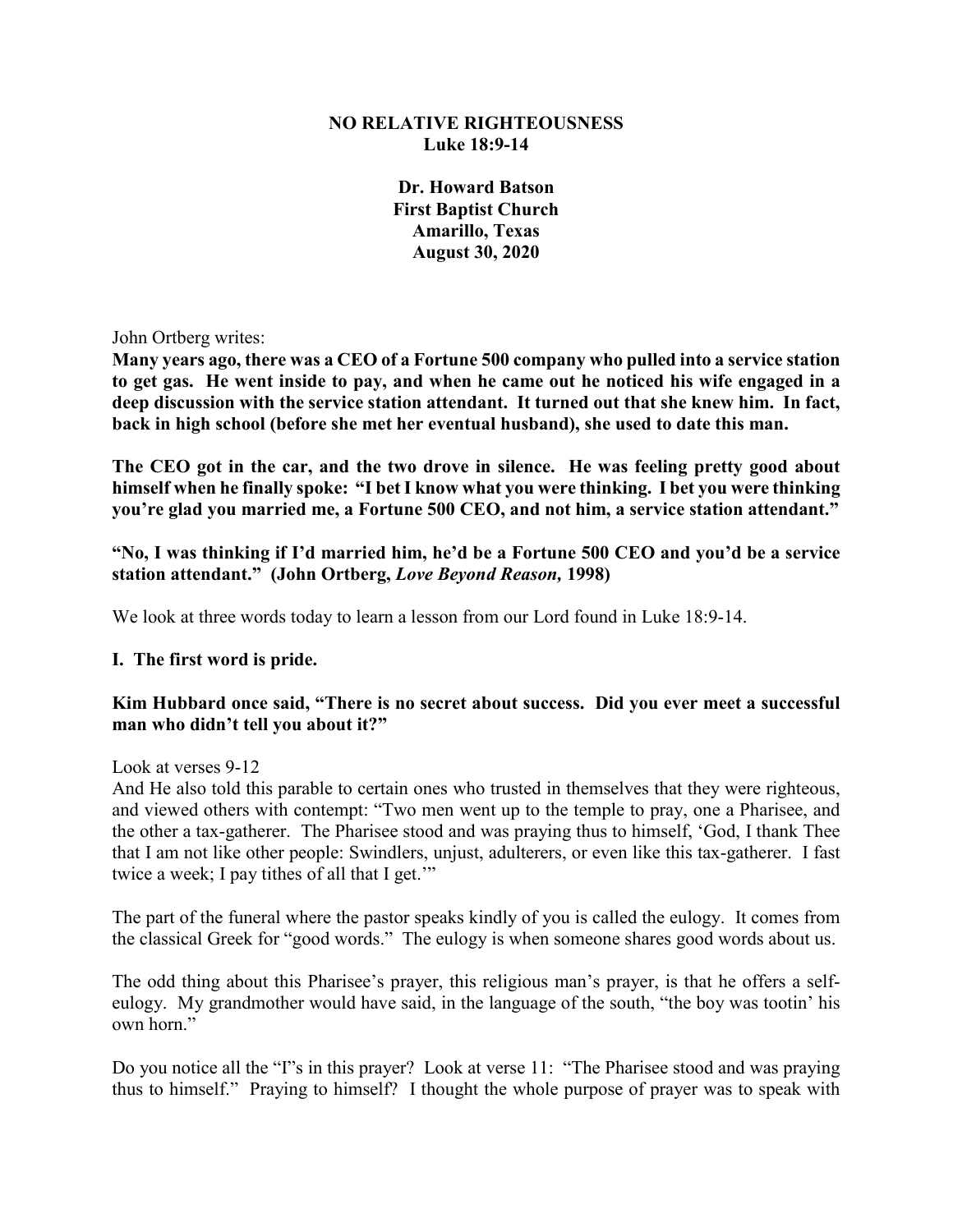### **NO RELATIVE RIGHTEOUSNESS Luke 18:9-14**

**Dr. Howard Batson First Baptist Church Amarillo, Texas August 30, 2020**

John Ortberg writes:

**Many years ago, there was a CEO of a Fortune 500 company who pulled into a service station to get gas. He went inside to pay, and when he came out he noticed his wife engaged in a deep discussion with the service station attendant. It turned out that she knew him. In fact, back in high school (before she met her eventual husband), she used to date this man.**

**The CEO got in the car, and the two drove in silence. He was feeling pretty good about himself when he finally spoke: "I bet I know what you were thinking. I bet you were thinking you're glad you married me, a Fortune 500 CEO, and not him, a service station attendant."**

**"No, I was thinking if I'd married him, he'd be a Fortune 500 CEO and you'd be a service station attendant." (John Ortberg,** *Love Beyond Reason,* **1998)**

We look at three words today to learn a lesson from our Lord found in Luke 18:9-14.

### **I. The first word is pride.**

### **Kim Hubbard once said, "There is no secret about success. Did you ever meet a successful man who didn't tell you about it?"**

Look at verses 9-12

And He also told this parable to certain ones who trusted in themselves that they were righteous, and viewed others with contempt: "Two men went up to the temple to pray, one a Pharisee, and the other a tax-gatherer. The Pharisee stood and was praying thus to himself, 'God, I thank Thee that I am not like other people: Swindlers, unjust, adulterers, or even like this tax-gatherer. I fast twice a week; I pay tithes of all that I get."

The part of the funeral where the pastor speaks kindly of you is called the eulogy. It comes from the classical Greek for "good words." The eulogy is when someone shares good words about us.

The odd thing about this Pharisee's prayer, this religious man's prayer, is that he offers a selfeulogy. My grandmother would have said, in the language of the south, "the boy was tootin' his own horn"

Do you notice all the "I"s in this prayer? Look at verse 11: "The Pharisee stood and was praying thus to himself." Praying to himself? I thought the whole purpose of prayer was to speak with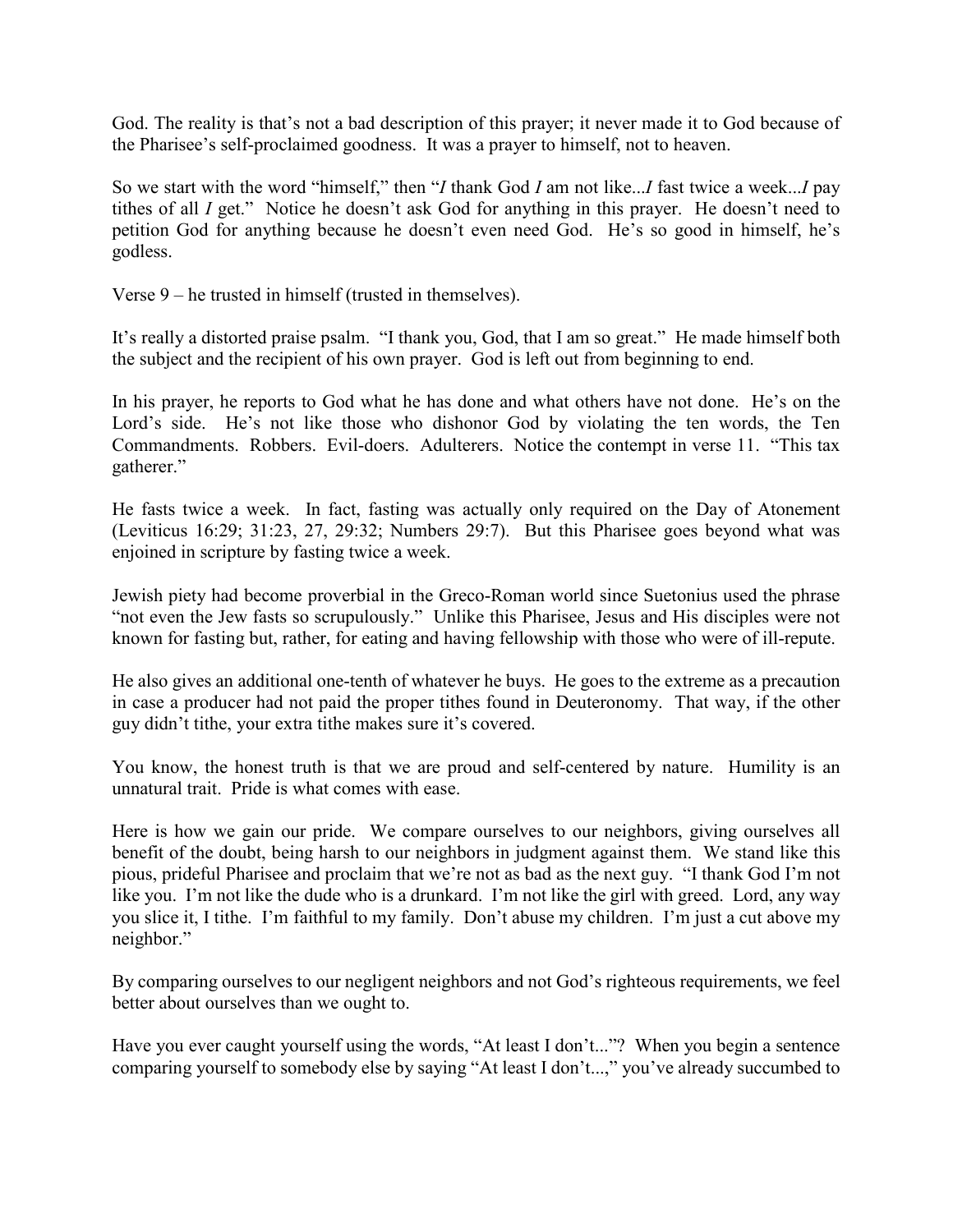God. The reality is that's not a bad description of this prayer; it never made it to God because of the Pharisee's self-proclaimed goodness. It was a prayer to himself, not to heaven.

So we start with the word "himself," then "*I* thank God *I* am not like...*I* fast twice a week...*I* pay tithes of all *I* get." Notice he doesn't ask God for anything in this prayer. He doesn't need to petition God for anything because he doesn't even need God. He's so good in himself, he's godless.

Verse 9 – he trusted in himself (trusted in themselves).

It's really a distorted praise psalm. "I thank you, God, that I am so great." He made himself both the subject and the recipient of his own prayer. God is left out from beginning to end.

In his prayer, he reports to God what he has done and what others have not done. He's on the Lord's side. He's not like those who dishonor God by violating the ten words, the Ten Commandments. Robbers. Evil-doers. Adulterers. Notice the contempt in verse 11. "This tax gatherer."

He fasts twice a week. In fact, fasting was actually only required on the Day of Atonement (Leviticus 16:29; 31:23, 27, 29:32; Numbers 29:7). But this Pharisee goes beyond what was enjoined in scripture by fasting twice a week.

Jewish piety had become proverbial in the Greco-Roman world since Suetonius used the phrase "not even the Jew fasts so scrupulously." Unlike this Pharisee, Jesus and His disciples were not known for fasting but, rather, for eating and having fellowship with those who were of ill-repute.

He also gives an additional one-tenth of whatever he buys. He goes to the extreme as a precaution in case a producer had not paid the proper tithes found in Deuteronomy. That way, if the other guy didn't tithe, your extra tithe makes sure it's covered.

You know, the honest truth is that we are proud and self-centered by nature. Humility is an unnatural trait. Pride is what comes with ease.

Here is how we gain our pride. We compare ourselves to our neighbors, giving ourselves all benefit of the doubt, being harsh to our neighbors in judgment against them. We stand like this pious, prideful Pharisee and proclaim that we're not as bad as the next guy. "I thank God I'm not like you. I'm not like the dude who is a drunkard. I'm not like the girl with greed. Lord, any way you slice it, I tithe. I'm faithful to my family. Don't abuse my children. I'm just a cut above my neighbor."

By comparing ourselves to our negligent neighbors and not God's righteous requirements, we feel better about ourselves than we ought to.

Have you ever caught yourself using the words, "At least I don't..."? When you begin a sentence comparing yourself to somebody else by saying "At least I don't...," you've already succumbed to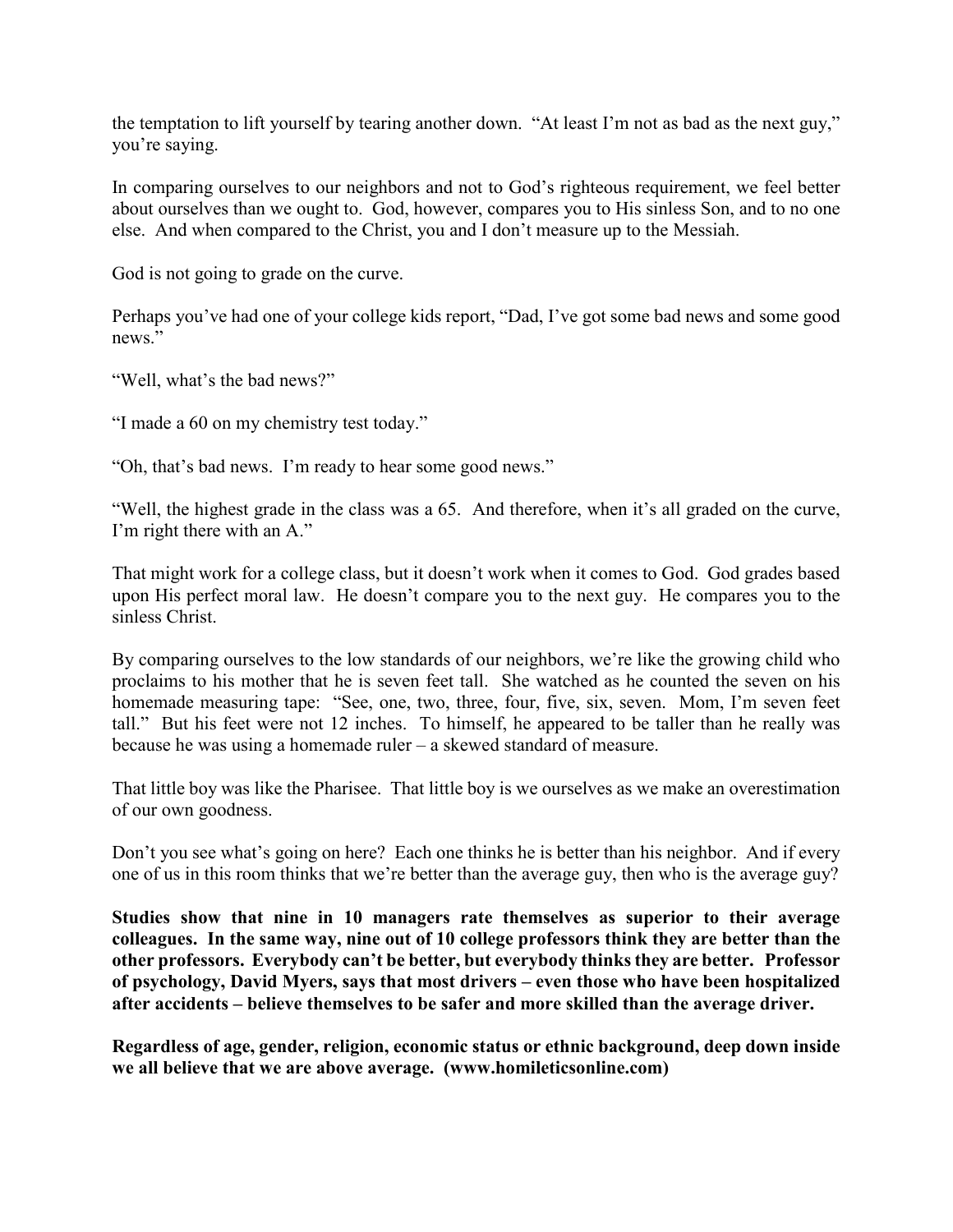the temptation to lift yourself by tearing another down. "At least I'm not as bad as the next guy," you're saying.

In comparing ourselves to our neighbors and not to God's righteous requirement, we feel better about ourselves than we ought to. God, however, compares you to His sinless Son, and to no one else. And when compared to the Christ, you and I don't measure up to the Messiah.

God is not going to grade on the curve.

Perhaps you've had one of your college kids report, "Dad, I've got some bad news and some good news."

"Well, what's the bad news?"

"I made a 60 on my chemistry test today."

"Oh, that's bad news. I'm ready to hear some good news."

"Well, the highest grade in the class was a 65. And therefore, when it's all graded on the curve, I'm right there with an A."

That might work for a college class, but it doesn't work when it comes to God. God grades based upon His perfect moral law. He doesn't compare you to the next guy. He compares you to the sinless Christ.

By comparing ourselves to the low standards of our neighbors, we're like the growing child who proclaims to his mother that he is seven feet tall. She watched as he counted the seven on his homemade measuring tape: "See, one, two, three, four, five, six, seven. Mom, I'm seven feet tall." But his feet were not 12 inches. To himself, he appeared to be taller than he really was because he was using a homemade ruler – a skewed standard of measure.

That little boy was like the Pharisee. That little boy is we ourselves as we make an overestimation of our own goodness.

Don't you see what's going on here? Each one thinks he is better than his neighbor. And if every one of us in this room thinks that we're better than the average guy, then who is the average guy?

**Studies show that nine in 10 managers rate themselves as superior to their average colleagues. In the same way, nine out of 10 college professors think they are better than the other professors. Everybody can't be better, but everybody thinks they are better. Professor of psychology, David Myers, says that most drivers – even those who have been hospitalized after accidents – believe themselves to be safer and more skilled than the average driver.**

**Regardless of age, gender, religion, economic status or ethnic background, deep down inside we all believe that we are above average. (www.homileticsonline.com)**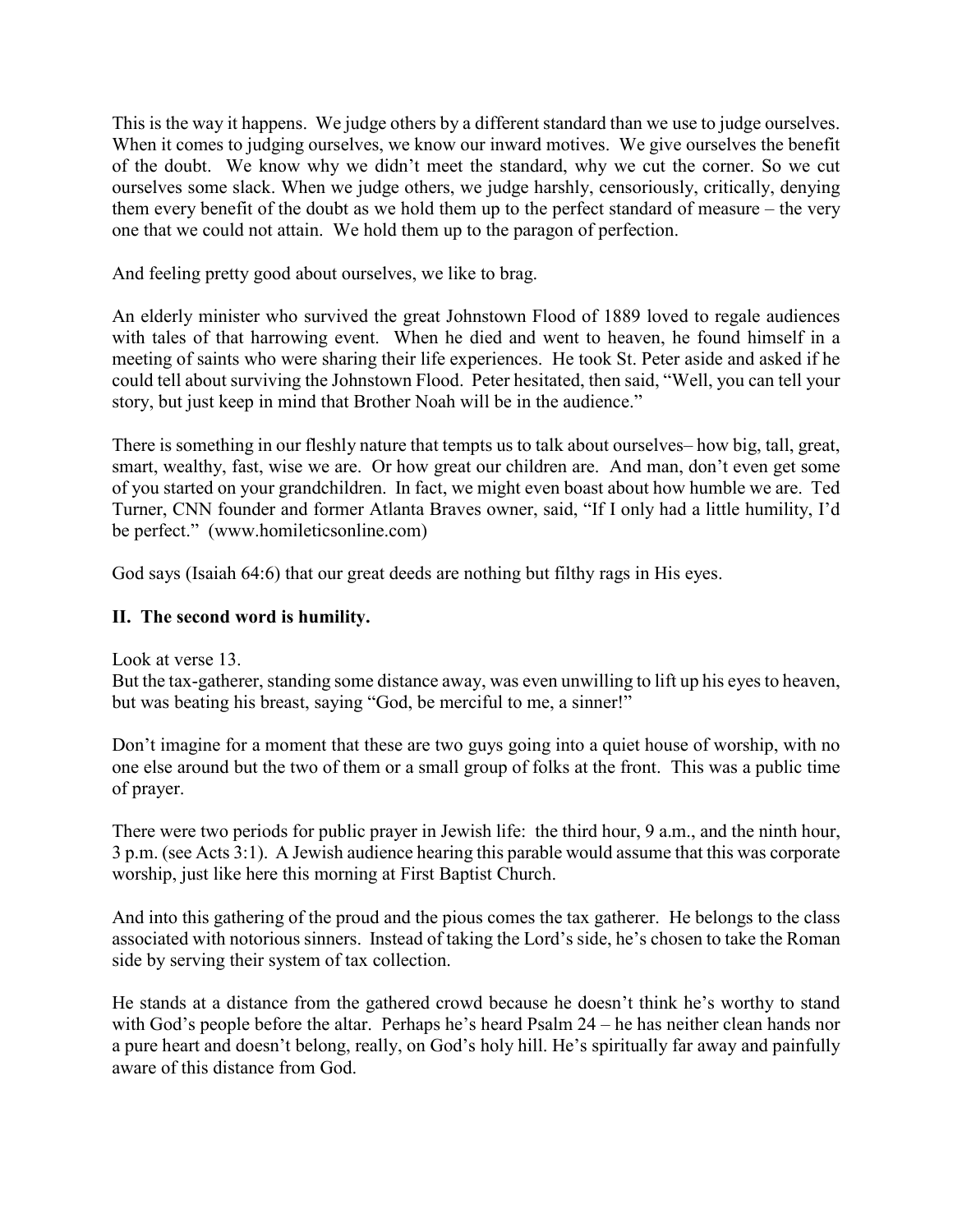This is the way it happens. We judge others by a different standard than we use to judge ourselves. When it comes to judging ourselves, we know our inward motives. We give ourselves the benefit of the doubt. We know why we didn't meet the standard, why we cut the corner. So we cut ourselves some slack. When we judge others, we judge harshly, censoriously, critically, denying them every benefit of the doubt as we hold them up to the perfect standard of measure – the very one that we could not attain. We hold them up to the paragon of perfection.

And feeling pretty good about ourselves, we like to brag.

An elderly minister who survived the great Johnstown Flood of 1889 loved to regale audiences with tales of that harrowing event. When he died and went to heaven, he found himself in a meeting of saints who were sharing their life experiences. He took St. Peter aside and asked if he could tell about surviving the Johnstown Flood. Peter hesitated, then said, "Well, you can tell your story, but just keep in mind that Brother Noah will be in the audience."

There is something in our fleshly nature that tempts us to talk about ourselves– how big, tall, great, smart, wealthy, fast, wise we are. Or how great our children are. And man, don't even get some of you started on your grandchildren. In fact, we might even boast about how humble we are. Ted Turner, CNN founder and former Atlanta Braves owner, said, "If I only had a little humility, I'd be perfect." (www.homileticsonline.com)

God says (Isaiah 64:6) that our great deeds are nothing but filthy rags in His eyes.

# **II. The second word is humility.**

Look at verse 13.

But the tax-gatherer, standing some distance away, was even unwilling to lift up his eyes to heaven, but was beating his breast, saying "God, be merciful to me, a sinner!"

Don't imagine for a moment that these are two guys going into a quiet house of worship, with no one else around but the two of them or a small group of folks at the front. This was a public time of prayer.

There were two periods for public prayer in Jewish life: the third hour, 9 a.m., and the ninth hour, 3 p.m. (see Acts 3:1). A Jewish audience hearing this parable would assume that this was corporate worship, just like here this morning at First Baptist Church.

And into this gathering of the proud and the pious comes the tax gatherer. He belongs to the class associated with notorious sinners. Instead of taking the Lord's side, he's chosen to take the Roman side by serving their system of tax collection.

He stands at a distance from the gathered crowd because he doesn't think he's worthy to stand with God's people before the altar. Perhaps he's heard Psalm 24 – he has neither clean hands nor a pure heart and doesn't belong, really, on God's holy hill. He's spiritually far away and painfully aware of this distance from God.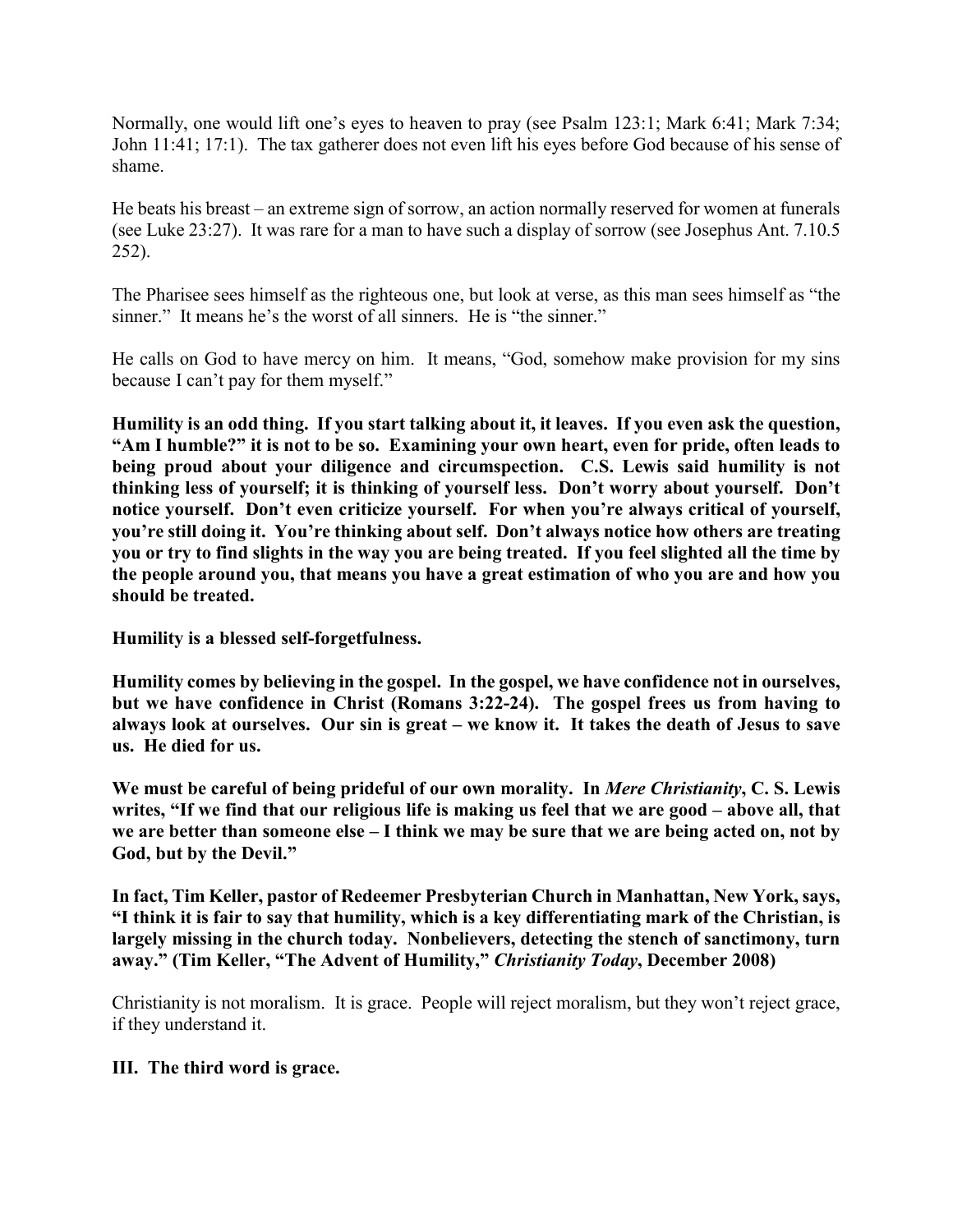Normally, one would lift one's eyes to heaven to pray (see Psalm 123:1; Mark 6:41; Mark 7:34; John 11:41; 17:1). The tax gatherer does not even lift his eyes before God because of his sense of shame.

He beats his breast – an extreme sign of sorrow, an action normally reserved for women at funerals (see Luke 23:27). It was rare for a man to have such a display of sorrow (see Josephus Ant. 7.10.5 252).

The Pharisee sees himself as the righteous one, but look at verse, as this man sees himself as "the sinner." It means he's the worst of all sinners. He is "the sinner."

He calls on God to have mercy on him. It means, "God, somehow make provision for my sins because I can't pay for them myself."

**Humility is an odd thing. If you start talking about it, it leaves. If you even ask the question, "Am I humble?" it is not to be so. Examining your own heart, even for pride, often leads to being proud about your diligence and circumspection. C.S. Lewis said humility is not thinking less of yourself; it is thinking of yourself less. Don't worry about yourself. Don't notice yourself. Don't even criticize yourself. For when you're always critical of yourself, you're still doing it. You're thinking about self. Don't always notice how others are treating you or try to find slights in the way you are being treated. If you feel slighted all the time by the people around you, that means you have a great estimation of who you are and how you should be treated.**

**Humility is a blessed self-forgetfulness.**

**Humility comes by believing in the gospel. In the gospel, we have confidence not in ourselves, but we have confidence in Christ (Romans 3:22-24). The gospel frees us from having to always look at ourselves. Our sin is great – we know it. It takes the death of Jesus to save us. He died for us.**

**We must be careful of being prideful of our own morality. In** *Mere Christianity***, C. S. Lewis writes, "If we find that our religious life is making us feel that we are good – above all, that we are better than someone else – I think we may be sure that we are being acted on, not by God, but by the Devil."**

**In fact, Tim Keller, pastor of Redeemer Presbyterian Church in Manhattan, New York, says, "I think it is fair to say that humility, which is a key differentiating mark of the Christian, is largely missing in the church today. Nonbelievers, detecting the stench of sanctimony, turn away." (Tim Keller, "The Advent of Humility,"** *Christianity Today***, December 2008)**

Christianity is not moralism. It is grace. People will reject moralism, but they won't reject grace, if they understand it.

## **III. The third word is grace.**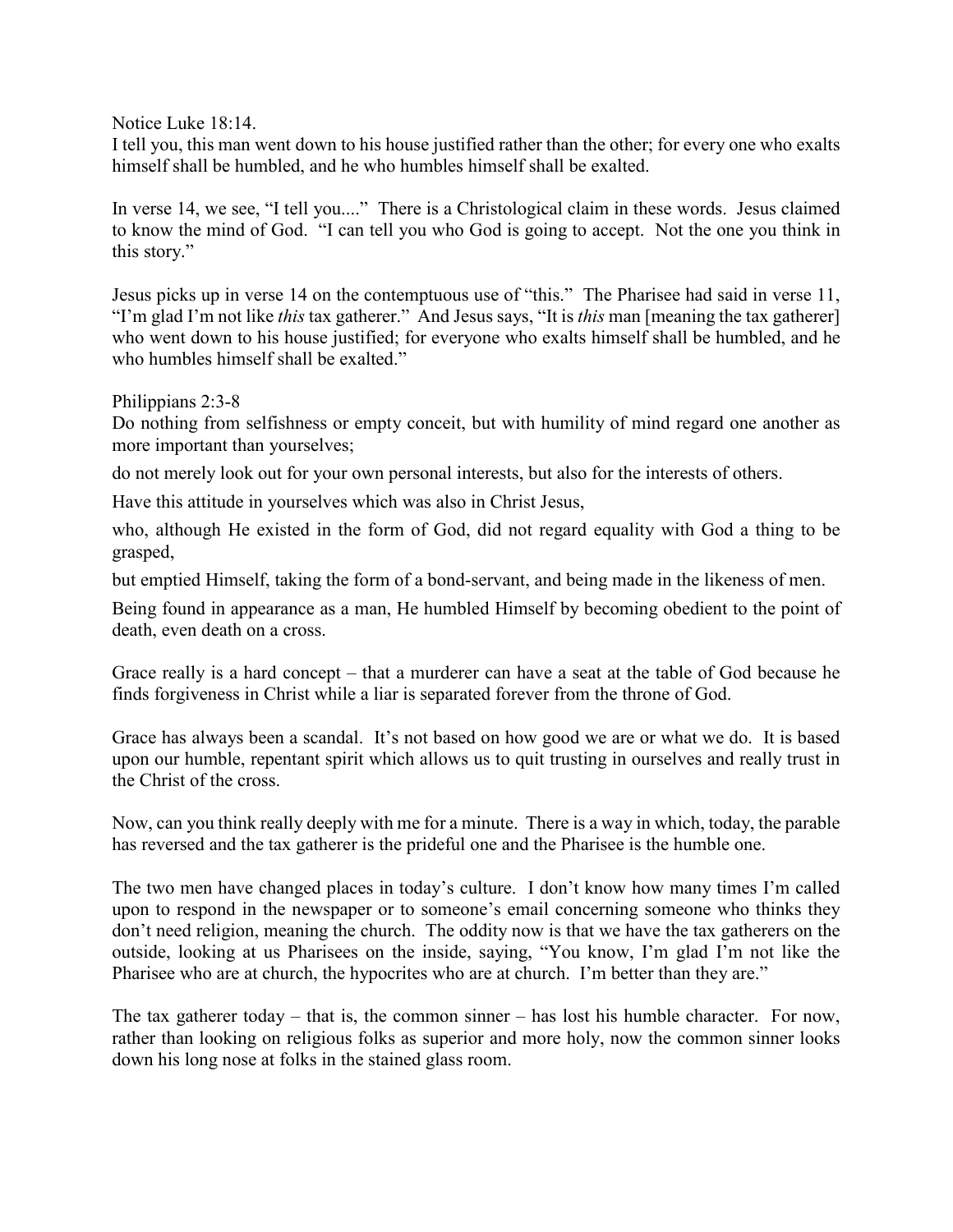Notice Luke 18:14.

I tell you, this man went down to his house justified rather than the other; for every one who exalts himself shall be humbled, and he who humbles himself shall be exalted.

In verse 14, we see, "I tell you...." There is a Christological claim in these words. Jesus claimed to know the mind of God. "I can tell you who God is going to accept. Not the one you think in this story."

Jesus picks up in verse 14 on the contemptuous use of "this." The Pharisee had said in verse 11, "I'm glad I'm not like *this* tax gatherer." And Jesus says, "It is *this* man [meaning the tax gatherer] who went down to his house justified; for everyone who exalts himself shall be humbled, and he who humbles himself shall be exalted."

Philippians 2:3-8

Do nothing from selfishness or empty conceit, but with humility of mind regard one another as more important than yourselves;

do not merely look out for your own personal interests, but also for the interests of others.

Have this attitude in yourselves which was also in Christ Jesus,

who, although He existed in the form of God, did not regard equality with God a thing to be grasped,

but emptied Himself, taking the form of a bond-servant, and being made in the likeness of men.

Being found in appearance as a man, He humbled Himself by becoming obedient to the point of death, even death on a cross.

Grace really is a hard concept – that a murderer can have a seat at the table of God because he finds forgiveness in Christ while a liar is separated forever from the throne of God.

Grace has always been a scandal. It's not based on how good we are or what we do. It is based upon our humble, repentant spirit which allows us to quit trusting in ourselves and really trust in the Christ of the cross.

Now, can you think really deeply with me for a minute. There is a way in which, today, the parable has reversed and the tax gatherer is the prideful one and the Pharisee is the humble one.

The two men have changed places in today's culture. I don't know how many times I'm called upon to respond in the newspaper or to someone's email concerning someone who thinks they don't need religion, meaning the church. The oddity now is that we have the tax gatherers on the outside, looking at us Pharisees on the inside, saying, "You know, I'm glad I'm not like the Pharisee who are at church, the hypocrites who are at church. I'm better than they are."

The tax gatherer today – that is, the common sinner – has lost his humble character. For now, rather than looking on religious folks as superior and more holy, now the common sinner looks down his long nose at folks in the stained glass room.